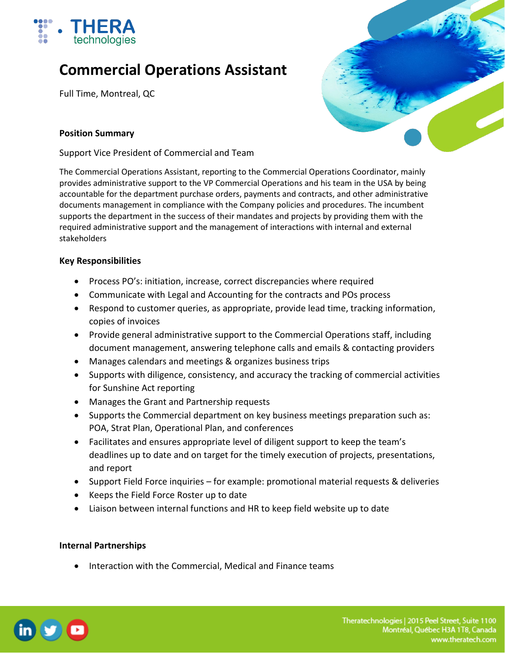

# **Commercial Operations Assistant**

Full Time, Montreal, QC



## **Position Summary**

Support Vice President of Commercial and Team

The Commercial Operations Assistant, reporting to the Commercial Operations Coordinator, mainly provides administrative support to the VP Commercial Operations and his team in the USA by being accountable for the department purchase orders, payments and contracts, and other administrative documents management in compliance with the Company policies and procedures. The incumbent supports the department in the success of their mandates and projects by providing them with the required administrative support and the management of interactions with internal and external stakeholders

### **Key Responsibilities**

- Process PO's: initiation, increase, correct discrepancies where required
- Communicate with Legal and Accounting for the contracts and POs process
- Respond to customer queries, as appropriate, provide lead time, tracking information, copies of invoices
- Provide general administrative support to the Commercial Operations staff, including document management, answering telephone calls and emails & contacting providers
- Manages calendars and meetings & organizes business trips
- Supports with diligence, consistency, and accuracy the tracking of commercial activities for Sunshine Act reporting
- Manages the Grant and Partnership requests
- Supports the Commercial department on key business meetings preparation such as: POA, Strat Plan, Operational Plan, and conferences
- Facilitates and ensures appropriate level of diligent support to keep the team's deadlines up to date and on target for the timely execution of projects, presentations, and report
- Support Field Force inquiries for example: promotional material requests & deliveries
- Keeps the Field Force Roster up to date
- Liaison between internal functions and HR to keep field website up to date

### **Internal Partnerships**

• Interaction with the Commercial, Medical and Finance teams